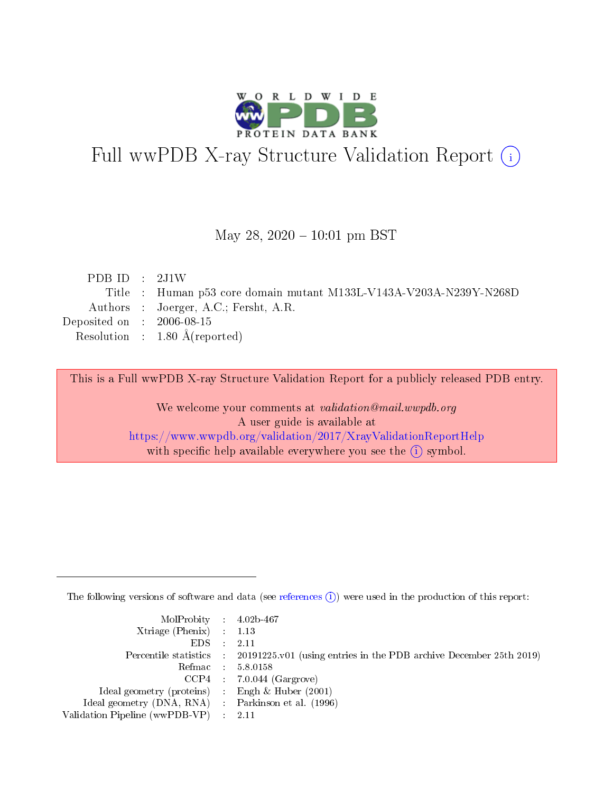

# Full wwPDB X-ray Structure Validation Report (i)

#### May 28,  $2020 - 10:01$  pm BST

| PDB ID : $2J1W$             |                                                                    |
|-----------------------------|--------------------------------------------------------------------|
|                             | Title : Human p53 core domain mutant M133L-V143A-V203A-N239Y-N268D |
|                             | Authors : Joerger, A.C.; Fersht, A.R.                              |
| Deposited on : $2006-08-15$ |                                                                    |
|                             | Resolution : $1.80 \text{ Å}$ (reported)                           |
|                             |                                                                    |

This is a Full wwPDB X-ray Structure Validation Report for a publicly released PDB entry.

We welcome your comments at validation@mail.wwpdb.org A user guide is available at <https://www.wwpdb.org/validation/2017/XrayValidationReportHelp> with specific help available everywhere you see the  $(i)$  symbol.

The following versions of software and data (see [references](https://www.wwpdb.org/validation/2017/XrayValidationReportHelp#references)  $(i)$ ) were used in the production of this report:

| $MolProbability$ 4.02b-467                          |                                                                                            |
|-----------------------------------------------------|--------------------------------------------------------------------------------------------|
| Xtriage (Phenix) $: 1.13$                           |                                                                                            |
| $EDS$ :                                             | -2.11                                                                                      |
|                                                     | Percentile statistics : 20191225.v01 (using entries in the PDB archive December 25th 2019) |
|                                                     | Refmac : 5.8.0158                                                                          |
|                                                     | $CCP4$ : 7.0.044 (Gargrove)                                                                |
| Ideal geometry (proteins) : Engh $\&$ Huber (2001)  |                                                                                            |
| Ideal geometry (DNA, RNA) : Parkinson et al. (1996) |                                                                                            |
| Validation Pipeline (wwPDB-VP)                      | -2.11                                                                                      |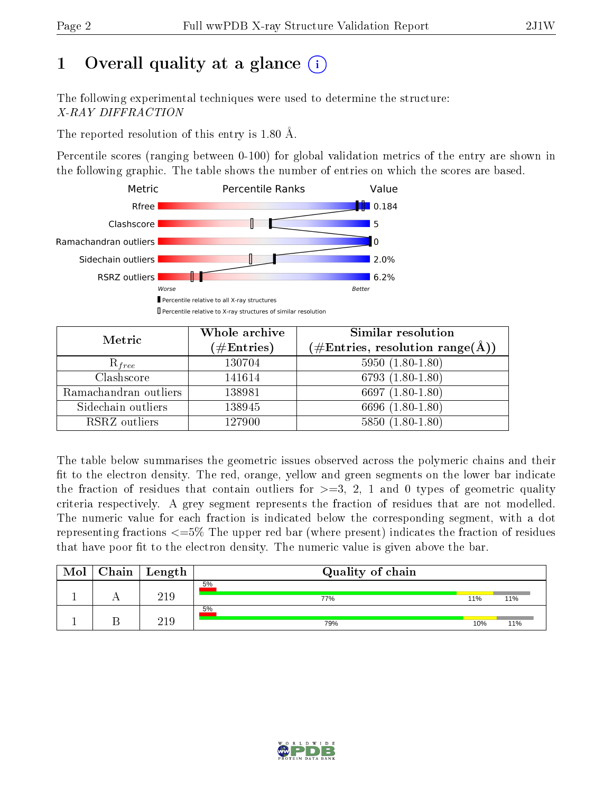# 1 [O](https://www.wwpdb.org/validation/2017/XrayValidationReportHelp#overall_quality)verall quality at a glance  $(i)$

The following experimental techniques were used to determine the structure: X-RAY DIFFRACTION

The reported resolution of this entry is 1.80 Å.

Percentile scores (ranging between 0-100) for global validation metrics of the entry are shown in the following graphic. The table shows the number of entries on which the scores are based.



| Metric                | Whole archive<br>$(\#\mathrm{Entries})$ | Similar resolution<br>$(\#\text{Entries},\,\text{resolution}\,\,\text{range}(\textup{\AA}))$ |
|-----------------------|-----------------------------------------|----------------------------------------------------------------------------------------------|
| $R_{free}$            | 130704                                  | $5950(1.80-1.80)$                                                                            |
| Clashscore            | 141614                                  | $6793(1.80-1.80)$                                                                            |
| Ramachandran outliers | 138981                                  | 6697 $(1.80-1.80)$                                                                           |
| Sidechain outliers    | 138945                                  | 6696 (1.80-1.80)                                                                             |
| RSRZ outliers         | 127900                                  | $5850(1.80-1.80)$                                                                            |

The table below summarises the geometric issues observed across the polymeric chains and their fit to the electron density. The red, orange, yellow and green segments on the lower bar indicate the fraction of residues that contain outliers for  $>=3, 2, 1$  and 0 types of geometric quality criteria respectively. A grey segment represents the fraction of residues that are not modelled. The numeric value for each fraction is indicated below the corresponding segment, with a dot representing fractions <=5% The upper red bar (where present) indicates the fraction of residues that have poor fit to the electron density. The numeric value is given above the bar.

| Mol | $C$ hain   Length | Quality of chain |     |     |
|-----|-------------------|------------------|-----|-----|
|     | 219               | 5%<br>77%        | 11% | 11% |
|     | 21 Q              | 5%<br>79%        | 10% | 11% |

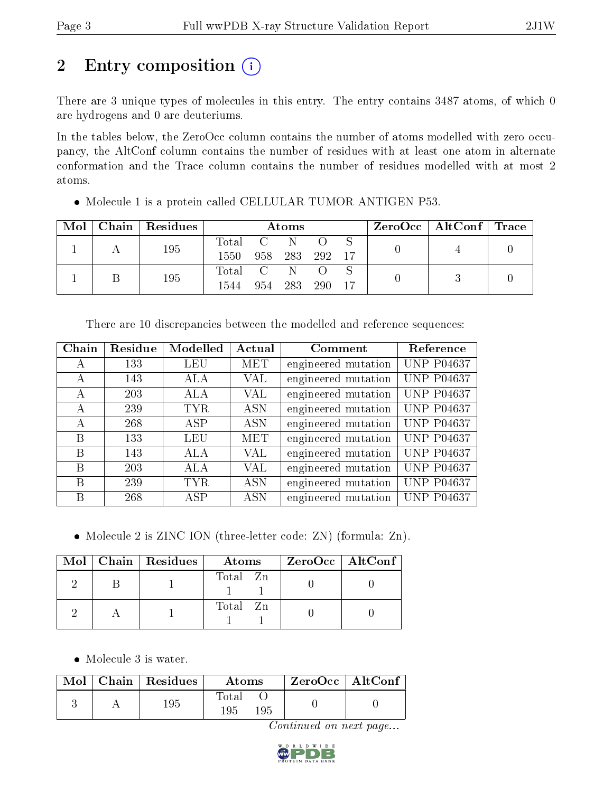# 2 Entry composition (i)

There are 3 unique types of molecules in this entry. The entry contains 3487 atoms, of which 0 are hydrogens and 0 are deuteriums.

In the tables below, the ZeroOcc column contains the number of atoms modelled with zero occupancy, the AltConf column contains the number of residues with at least one atom in alternate conformation and the Trace column contains the number of residues modelled with at most 2 atoms.

| Mol |  | Chain   Residues | Atoms     |  |            |  |  | $\rm ZeroOcc \mid AltConf \mid Trace$ |  |
|-----|--|------------------|-----------|--|------------|--|--|---------------------------------------|--|
|     |  | 195              | Total C N |  |            |  |  |                                       |  |
|     |  | 1550             | 958 283   |  | 292 17     |  |  |                                       |  |
|     |  | 195              | Total C N |  |            |  |  |                                       |  |
|     |  | 1544             | 954 283   |  | <b>290</b> |  |  |                                       |  |

Molecule 1 is a protein called CELLULAR TUMOR ANTIGEN P53.

|                  |                                     |                | There are 10 discrepancies between the modelled and reference sequences: |                    |
|------------------|-------------------------------------|----------------|--------------------------------------------------------------------------|--------------------|
|                  | Chain   Residue   Modelled   Actual |                | Comment                                                                  | Reference          |
| 100 <sup>-</sup> | T T T T                             | $\blacksquare$ |                                                                          | $\Box$ IIID DAJAAH |

| ∪пап | resique | ivioueneu  | Actual     | Comment             | neierence         |
|------|---------|------------|------------|---------------------|-------------------|
| А    | 133     | LEU        | <b>MET</b> | engineered mutation | <b>UNP P04637</b> |
| А    | 143     | ALA        | VAL        | engineered mutation | <b>UNP P04637</b> |
| A    | 203     | ALA        | VAL        | engineered mutation | <b>UNP P04637</b> |
| A    | 239     | <b>TYR</b> | <b>ASN</b> | engineered mutation | <b>UNP P04637</b> |
| А    | 268     | ASP        | <b>ASN</b> | engineered mutation | <b>UNP P04637</b> |
| B    | 133     | <b>LEU</b> | MET        | engineered mutation | <b>UNP P04637</b> |
| B    | 143     | ALA        | VAL        | engineered mutation | <b>UNP P04637</b> |
| В    | 203     | ALA        | VAL        | engineered mutation | <b>UNP P04637</b> |
| B    | 239     | <b>TYR</b> | <b>ASN</b> | engineered mutation | <b>UNP P04637</b> |
| В    | 268     | ASP        | <b>ASN</b> | engineered mutation | <b>UNP P04637</b> |

• Molecule 2 is ZINC ION (three-letter code: ZN) (formula: Zn).

|  | $Mol$   Chain   Residues | Atoms    | ZeroOcc   AltConf |
|--|--------------------------|----------|-------------------|
|  |                          | Total Zn |                   |
|  |                          | Total Zn |                   |

• Molecule 3 is water.

|  | Mol   Chain   Residues | Atoms                      | ZeroOcc   AltConf |
|--|------------------------|----------------------------|-------------------|
|  | 195                    | <b>Total</b><br>195<br>195 |                   |

Continued on next page...

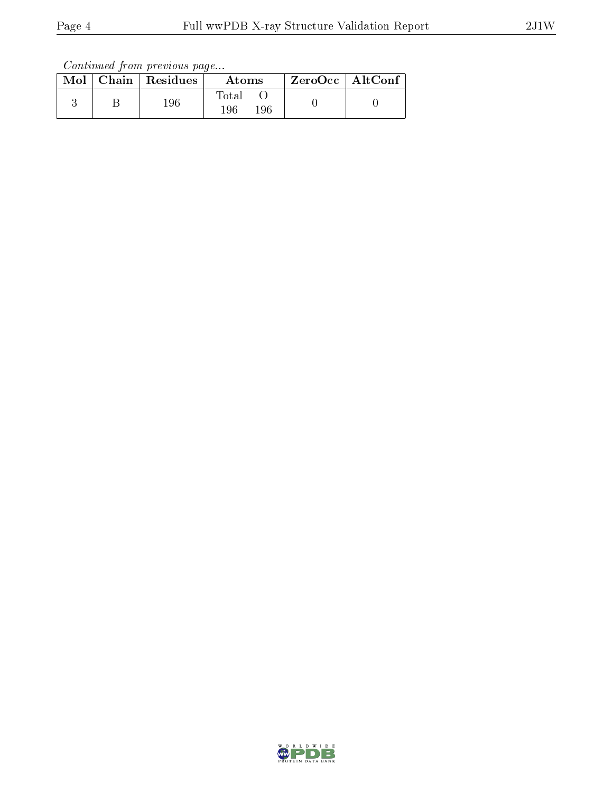Continued from previous page...

|  | $Mol$   Chain   Residues | Atoms                        | $ZeroOcc \mid AltConf \mid$ |
|--|--------------------------|------------------------------|-----------------------------|
|  | 196                      | $_{\rm Total}$<br>196<br>196 |                             |

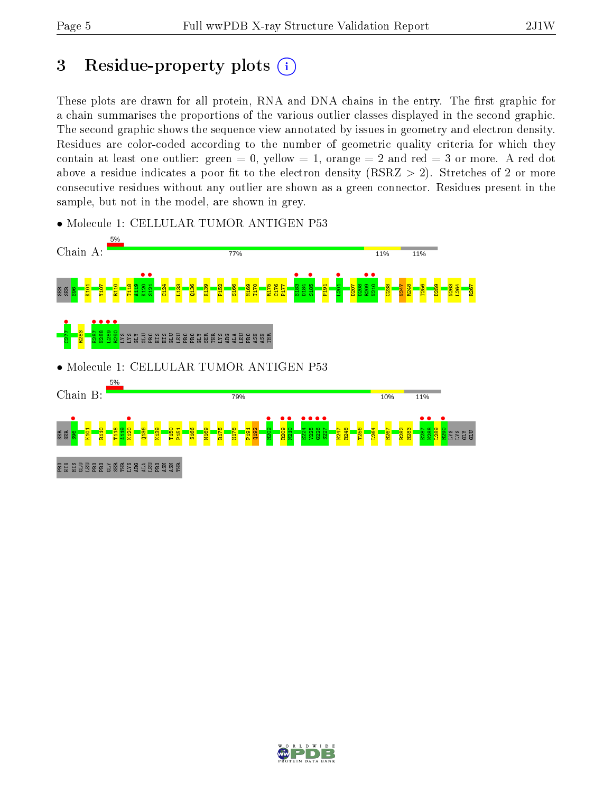## 3 Residue-property plots  $(i)$

These plots are drawn for all protein, RNA and DNA chains in the entry. The first graphic for a chain summarises the proportions of the various outlier classes displayed in the second graphic. The second graphic shows the sequence view annotated by issues in geometry and electron density. Residues are color-coded according to the number of geometric quality criteria for which they contain at least one outlier: green  $= 0$ , yellow  $= 1$ , orange  $= 2$  and red  $= 3$  or more. A red dot above a residue indicates a poor fit to the electron density (RSRZ  $> 2$ ). Stretches of 2 or more consecutive residues without any outlier are shown as a green connector. Residues present in the sample, but not in the model, are shown in grey.



• Molecule 1: CELLULAR TUMOR ANTIGEN P53

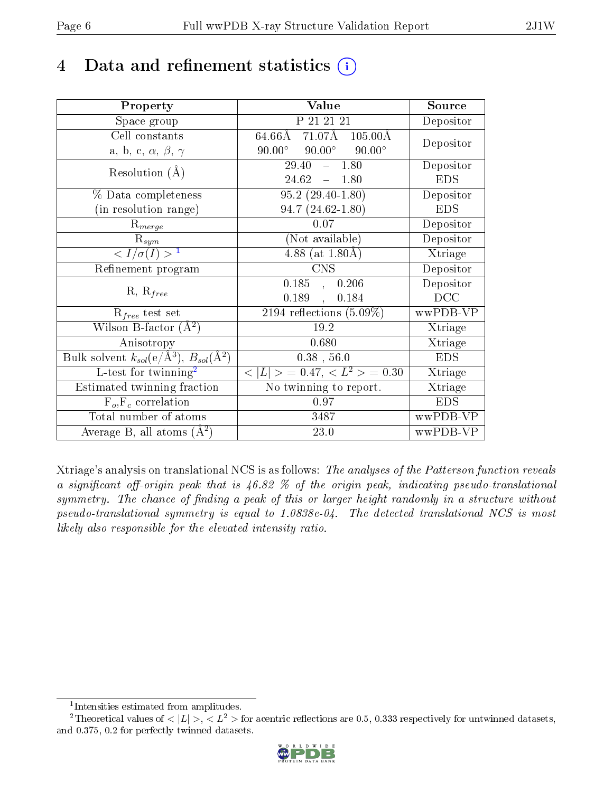## 4 Data and refinement statistics  $(i)$

| Property                                                              | Value                                             | Source     |
|-----------------------------------------------------------------------|---------------------------------------------------|------------|
| Space group                                                           | P 21 21 21                                        | Depositor  |
| Cell constants                                                        | $71.07\text{\AA}$<br>64.66Å<br>$105.00\text{\AA}$ | Depositor  |
| a, b, c, $\alpha$ , $\beta$ , $\gamma$                                | $90.00^\circ$<br>$90.00^\circ$<br>$90.00^\circ$   |            |
| Resolution $(A)$                                                      | $-1.80$<br>29.40                                  | Depositor  |
|                                                                       | 24.62<br>$-1.80$                                  | <b>EDS</b> |
| % Data completeness                                                   | $95.2(29.40-1.80)$                                | Depositor  |
| (in resolution range)                                                 | $94.7(24.62 - 1.80)$                              | <b>EDS</b> |
| $R_{merge}$                                                           | 0.07                                              | Depositor  |
| $\mathbf{R}_{sym}$                                                    | (Not available)                                   | Depositor  |
| $\langle I/\sigma(I) \rangle^{-1}$                                    | 4.88 (at $1.80\text{\AA}$ )                       | Xtriage    |
| Refinement program                                                    | CNS                                               | Depositor  |
| $R, R_{free}$                                                         | $\overline{0.185}$ ,<br>0.206                     | Depositor  |
|                                                                       | 0.189<br>0.184<br>$\overline{a}$                  | DCC        |
| $R_{free}$ test set                                                   | 2194 reflections $(5.09\%)$                       | wwPDB-VP   |
| Wilson B-factor $(A^2)$                                               | 19.2                                              | Xtriage    |
| Anisotropy                                                            | 0.680                                             | Xtriage    |
| Bulk solvent $k_{sol}(\text{e}/\text{\AA}^3),\,B_{sol}(\text{\AA}^2)$ | $0.38$ , 56.0                                     | <b>EDS</b> |
| L-test for $\mathrm{twinning}^2$                                      | $< L >$ = 0.47, $< L2 >$ = 0.30                   | Xtriage    |
| Estimated twinning fraction                                           | $\overline{\text{No}}$ twinning to report.        | Xtriage    |
| $F_o, F_c$ correlation                                                | 0.97                                              | <b>EDS</b> |
| Total number of atoms                                                 | 3487                                              | wwPDB-VP   |
| Average B, all atoms $(A^2)$                                          | 23.0                                              | wwPDB-VP   |

Xtriage's analysis on translational NCS is as follows: The analyses of the Patterson function reveals a significant off-origin peak that is  $46.82\%$  of the origin peak, indicating pseudo-translational symmetry. The chance of finding a peak of this or larger height randomly in a structure without pseudo-translational symmetry is equal to 1.0838e-04. The detected translational NCS is most likely also responsible for the elevated intensity ratio.

<sup>&</sup>lt;sup>2</sup>Theoretical values of  $\langle |L| \rangle$ ,  $\langle L^2 \rangle$  for acentric reflections are 0.5, 0.333 respectively for untwinned datasets, and 0.375, 0.2 for perfectly twinned datasets.



<span id="page-5-1"></span><span id="page-5-0"></span><sup>1</sup> Intensities estimated from amplitudes.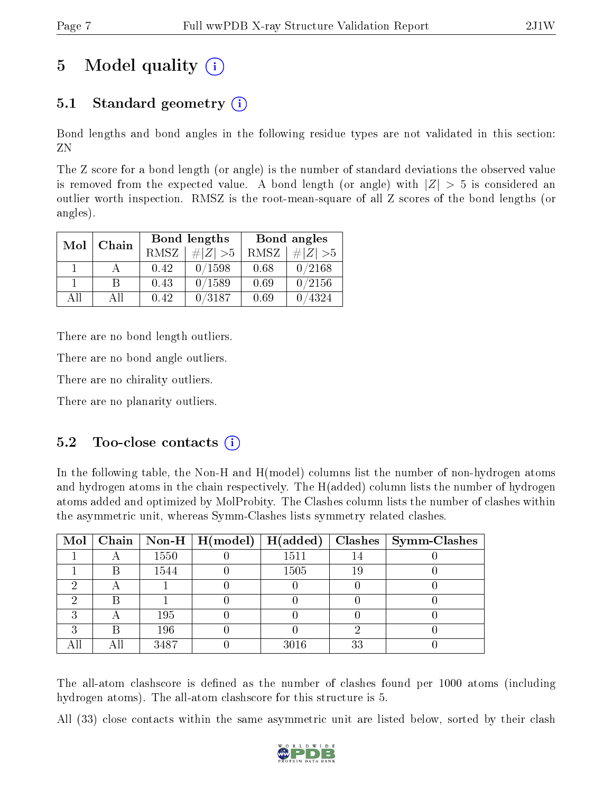# 5 Model quality  $(i)$

## 5.1 Standard geometry (i)

Bond lengths and bond angles in the following residue types are not validated in this section: ZN

The Z score for a bond length (or angle) is the number of standard deviations the observed value is removed from the expected value. A bond length (or angle) with  $|Z| > 5$  is considered an outlier worth inspection. RMSZ is the root-mean-square of all Z scores of the bond lengths (or angles).

| Mol | Chain |             | Bond lengths | Bond angles |             |  |
|-----|-------|-------------|--------------|-------------|-------------|--|
|     |       | <b>RMSZ</b> | $\# Z  > 5$  | RMSZ        | $\# Z  > 5$ |  |
|     |       | 0.42        | 0/1598       | 0.68        | 0/2168      |  |
|     | R     | 0.43        | 0/1589       | 0.69        | 0/2156      |  |
| АH  | A 11  | 0.42        | 0/3187       | 0.69        | 4324        |  |

There are no bond length outliers.

There are no bond angle outliers.

There are no chirality outliers.

There are no planarity outliers.

### $5.2$  Too-close contacts  $(i)$

In the following table, the Non-H and H(model) columns list the number of non-hydrogen atoms and hydrogen atoms in the chain respectively. The H(added) column lists the number of hydrogen atoms added and optimized by MolProbity. The Clashes column lists the number of clashes within the asymmetric unit, whereas Symm-Clashes lists symmetry related clashes.

|   |   |      | Mol   Chain   Non-H   H(model)   H(added) |      |    | $\textbf{Class} \mid \textbf{Symm-Class}$ |
|---|---|------|-------------------------------------------|------|----|-------------------------------------------|
|   |   | 1550 |                                           | 1511 | 14 |                                           |
|   | B | 1544 |                                           | 1505 | 19 |                                           |
| ച |   |      |                                           |      |    |                                           |
|   |   |      |                                           |      |    |                                           |
| ົ |   | 195  |                                           |      |    |                                           |
| ົ | R | 196  |                                           |      |    |                                           |
|   |   | 3487 |                                           | 3016 | 33 |                                           |

The all-atom clashscore is defined as the number of clashes found per 1000 atoms (including hydrogen atoms). The all-atom clashscore for this structure is 5.

All (33) close contacts within the same asymmetric unit are listed below, sorted by their clash

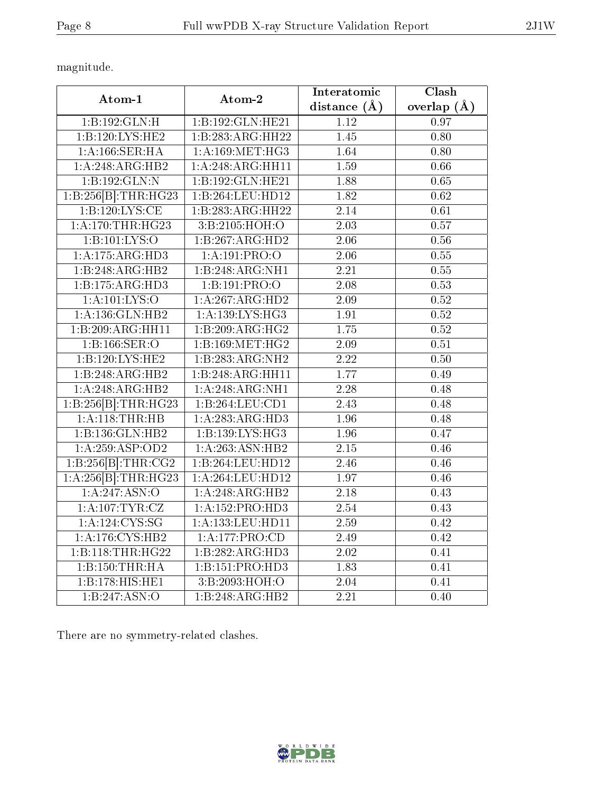magnitude.

| Atom-1                 | Atom-2              | Interatomic       | Clash         |
|------------------------|---------------------|-------------------|---------------|
|                        |                     | distance $(A)$    | overlap $(A)$ |
| 1:B:192:GLN:H          | 1:B:192:GLN:HE21    | 1.12              | 0.97          |
| 1:B:120:LYS:HE2        | 1:B:283:ARG:HH22    | 1.45              | 0.80          |
| 1:A:166:SER:HA         | 1: A:169: MET:HG3   | 1.64              | 0.80          |
| 1:A:248:ARG:HB2        | 1:A:248:ARG:HH11    | 1.59              | 0.66          |
| 1:B:192:GLN:N          | 1:B:192:GLN:HE21    | 1.88              | 0.65          |
| 1:B:256[B]:THR:HG23    | 1:B:264:LEU:HD12    | 1.82              | 0.62          |
| 1: B: 120: LYS: CE     | 1:B:283:ARG:HH22    | $\overline{2.14}$ | 0.61          |
| 1:A:170:THR:HG23       | 3:B:2105:HOH:O      | $\overline{2.03}$ | 0.57          |
| 1:B:101:LYS:O          | 1:B:267:ARG:HD2     | 2.06              | 0.56          |
| 1:A:175:ARG:HD3        | 1:A:191:PRO:O       | $\overline{2.06}$ | 0.55          |
| 1:B:248:ARG:HB2        | 1:B:248:ARG:NH1     | 2.21              | 0.55          |
| 1:B:175:ARG:HD3        | 1:B:191:PRO:O       | 2.08              | 0.53          |
| 1: A:101:LYS:O         | 1:A:267:ARG:HD2     | 2.09              | 0.52          |
| $1:$ A:136: $GLN:HB2$  | 1:A:139:LYS:HG3     | 1.91              | 0.52          |
| 1:B:209:ARG:HH11       | 1:B:209:ARG:HG2     | 1.75              | 0.52          |
| 1:B:166:SER:O          | 1:B:169:MET:HG2     | 2.09              | 0.51          |
| 1:B:120:LYS:HE2        | 1:B:283:ARG:NH2     | $\overline{2.22}$ | 0.50          |
| 1:B:248:ARG:HB2        | 1:B:248:ARG:HH11    | 1.77              | 0.49          |
| 1:A:248:ARG:HB2        | 1: A:248:ARG:NH1    | 2.28              | 0.48          |
| 1:B:256 [B]: THR: HG23 | 1:B:264:LEU:CD1     | $\overline{2.43}$ | 0.48          |
| 1: A:118:THR:HB        | 1: A:283:ARG:HD3    | 1.96              | 0.48          |
| 1:B:136:GLN:HB2        | 1:B:139:LYS:HG3     | $\overline{1.96}$ | 0.47          |
| 1:A:259:ASP:OD2        | 1:A:263:ASN:HB2     | 2.15              | 0.46          |
| 1:B:256[B]:THR:CG2     | 1:B:264:LEU:HD12    | 2.46              | 0.46          |
| 1:A:256[B]:THR:HG23    | 1:A:264:LEU:HD12    | 1.97              | 0.46          |
| 1:A:247:ASN:O          | 1:A:248:ARG:HB2     | 2.18              | 0.43          |
| 1: A:107:TYR:CZ        | 1: A: 152: PRO: HD3 | 2.54              | 0.43          |
| 1: A: 124: CYS: SG     | 1:A:133:LEU:HD11    | 2.59              | 0.42          |
| 1: A:176: CYS:HB2      | 1:A:177:PRO:CD      | 2.49              | 0.42          |
| 1:B:118:THR:HG22       | 1:B:282:ARG:HD3     | 2.02              | 0.41          |
| 1:B:150:THR:HA         | 1:B:151:PRO:HD3     | 1.83              | 0.41          |
| 1:B:178:HIS:HE1        | 3:B:2093:HOH:O      | 2.04              | 0.41          |
| 1:B:247:ASN:O          | 1:B:248:ARG:HB2     | $\overline{2.21}$ | 0.40          |

There are no symmetry-related clashes.

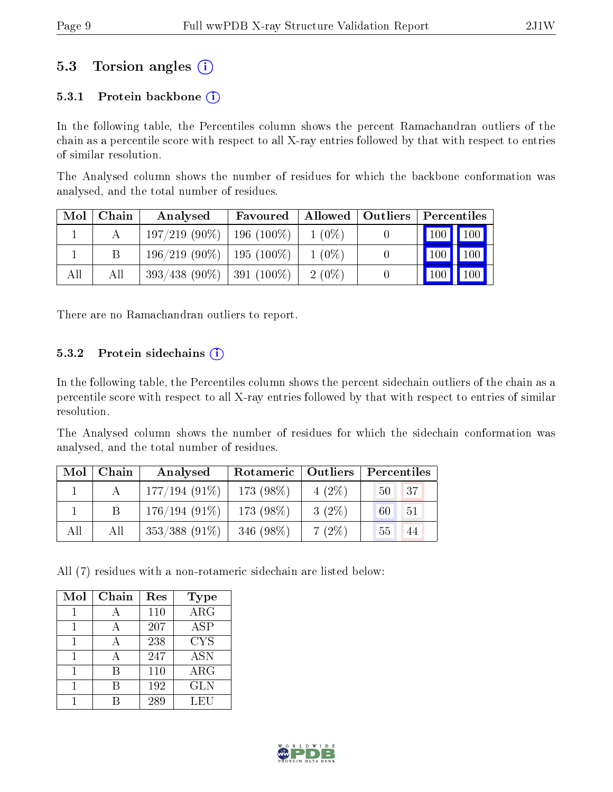### 5.3 Torsion angles (i)

#### 5.3.1 Protein backbone  $(i)$

In the following table, the Percentiles column shows the percent Ramachandran outliers of the chain as a percentile score with respect to all X-ray entries followed by that with respect to entries of similar resolution.

The Analysed column shows the number of residues for which the backbone conformation was analysed, and the total number of residues.

| Mol | Chain | Analysed                       | Favoured     |          | Allowed   Outliers | Percentiles                  |
|-----|-------|--------------------------------|--------------|----------|--------------------|------------------------------|
|     |       | $197/219(90\%)$                | $196(100\%)$ | $1(0\%)$ |                    | $\mid$ 100 $\mid$ 100 $\mid$ |
|     |       | $196/219$ (90\%)   195 (100\%) |              | $1(0\%)$ |                    | 100<br>$\blacksquare$ 100    |
| All | All   | $393/438$ (90\%)   391 (100\%) |              | $2(0\%)$ |                    | 100<br>100                   |

There are no Ramachandran outliers to report.

#### 5.3.2 Protein sidechains  $(i)$

In the following table, the Percentiles column shows the percent sidechain outliers of the chain as a percentile score with respect to all X-ray entries followed by that with respect to entries of similar resolution.

The Analysed column shows the number of residues for which the sidechain conformation was analysed, and the total number of residues.

| Mol | Chain | Analysed         | Rotameric   Outliers |          | Percentiles                         |
|-----|-------|------------------|----------------------|----------|-------------------------------------|
|     |       | $177/194(91\%)$  | $173(98\%)$          | $4(2\%)$ | 137 <sup>1</sup><br>50 <sup>1</sup> |
|     |       | $176/194(91\%)$  | 173 $(98\%)$         | $3(2\%)$ | <sup>51</sup><br>60 I               |
| All | All   | $353/388$ (91\%) | $346(98\%)$          | $7(2\%)$ | 44<br>55                            |

All (7) residues with a non-rotameric sidechain are listed below:

| Mol | Chain | Res | <b>Type</b>             |
|-----|-------|-----|-------------------------|
|     |       | 110 | $\overline{\text{ARG}}$ |
|     |       | 207 | ASP                     |
|     |       | 238 | <b>CYS</b>              |
|     |       | 247 | <b>ASN</b>              |
|     | В     | 110 | ARG                     |
|     |       | 192 | <b>GLN</b>              |
|     |       | 289 | LEU                     |

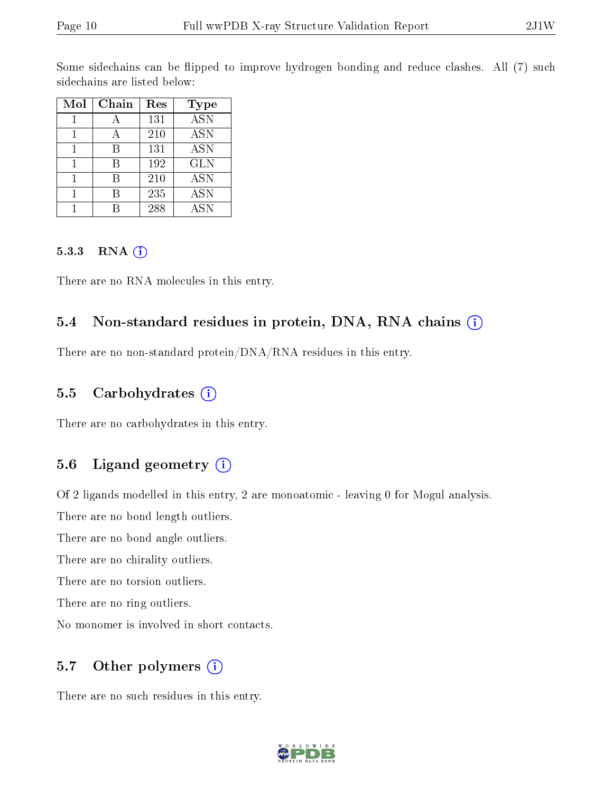Some sidechains can be flipped to improve hydrogen bonding and reduce clashes. All (7) such sidechains are listed below:

| Mol | Chain | Res | Type       |
|-----|-------|-----|------------|
|     |       | 131 | <b>ASN</b> |
|     |       | 210 | <b>ASN</b> |
|     | R     | 131 | <b>ASN</b> |
|     | R     | 192 | <b>GLN</b> |
|     | R     | 210 | <b>ASN</b> |
|     |       | 235 | <b>ASN</b> |
|     |       | 288 | <b>ASN</b> |

#### 5.3.3 RNA (1)

There are no RNA molecules in this entry.

### 5.4 Non-standard residues in protein, DNA, RNA chains (i)

There are no non-standard protein/DNA/RNA residues in this entry.

#### 5.5 Carbohydrates (i)

There are no carbohydrates in this entry.

### 5.6 Ligand geometry (i)

Of 2 ligands modelled in this entry, 2 are monoatomic - leaving 0 for Mogul analysis.

There are no bond length outliers.

There are no bond angle outliers.

There are no chirality outliers.

There are no torsion outliers.

There are no ring outliers.

No monomer is involved in short contacts.

#### 5.7 [O](https://www.wwpdb.org/validation/2017/XrayValidationReportHelp#nonstandard_residues_and_ligands)ther polymers  $(i)$

There are no such residues in this entry.

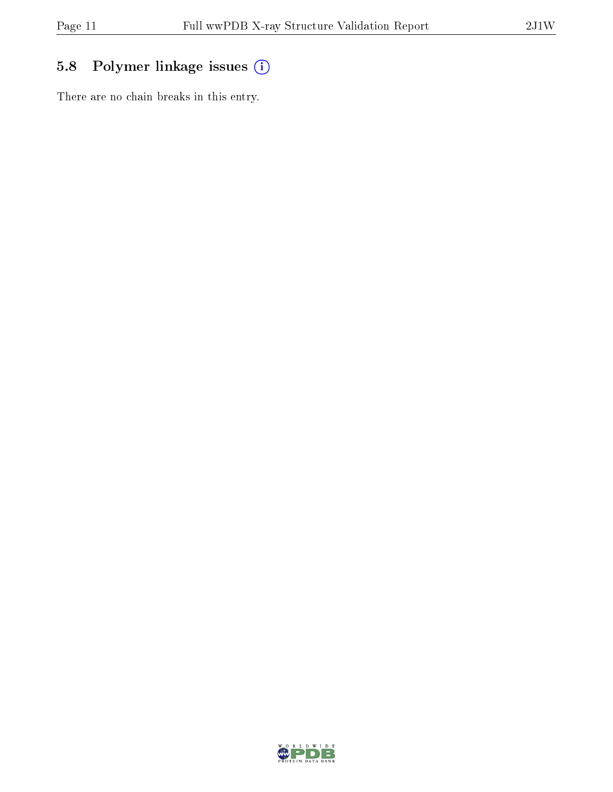## 5.8 Polymer linkage issues (i)

There are no chain breaks in this entry.

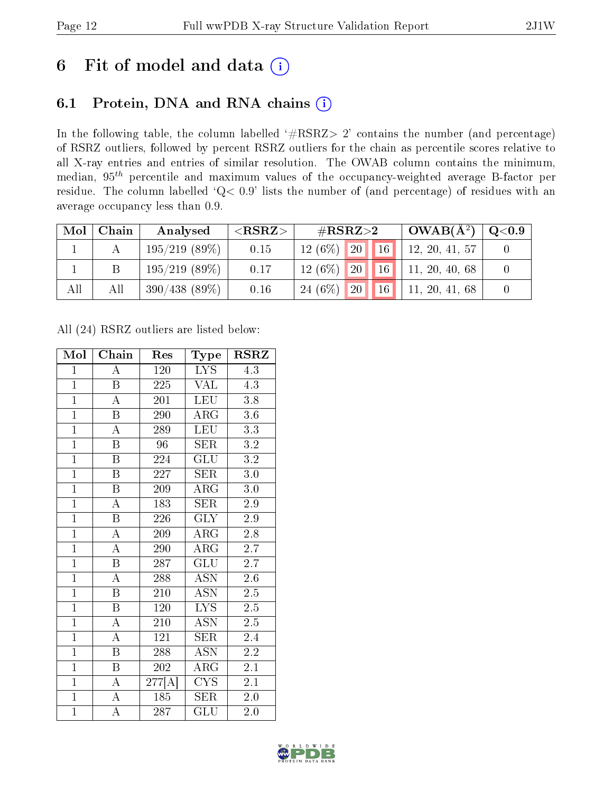## 6 Fit of model and data  $(i)$

## 6.1 Protein, DNA and RNA chains  $(i)$

In the following table, the column labelled  $#RSRZ> 2'$  contains the number (and percentage) of RSRZ outliers, followed by percent RSRZ outliers for the chain as percentile scores relative to all X-ray entries and entries of similar resolution. The OWAB column contains the minimum, median,  $95<sup>th</sup>$  percentile and maximum values of the occupancy-weighted average B-factor per residue. The column labelled ' $Q< 0.9$ ' lists the number of (and percentage) of residues with an average occupancy less than 0.9.

| Mol | Chain | Analysed         | ${ <\hspace{-1.5pt}{\mathrm{RSRZ}} \hspace{-1.5pt}>}$ | # $RSRZ>2$                   | $_+$ OWAB(Å <sup>2</sup> ) $^+$ | $\rm Q\textcolor{black}{<}0.9$ |
|-----|-------|------------------|-------------------------------------------------------|------------------------------|---------------------------------|--------------------------------|
|     |       | $195/219$ (89\%) | 0.15                                                  | 16<br> 20 <br>$12(6\%)$      | 12, 20, 41, 57                  |                                |
|     |       | 195/219(89%)     | 0.17                                                  | 16<br>$12(6\%)$<br> 20       | 11, 20, 40, 68                  |                                |
| All | All   | 390/438(89%)     | 0.16                                                  | 16<br>$24(6\%)$<br><b>20</b> | 11, 20, 41, 68                  |                                |

All (24) RSRZ outliers are listed below:

| Mol            | Chain                   | Res                 | $_{\rm Type}$             | <b>RSRZ</b>      |
|----------------|-------------------------|---------------------|---------------------------|------------------|
| $\mathbf{1}$   | A                       | 120                 | <b>LYS</b>                | 4.3              |
| $\overline{1}$ | B                       | 225                 | <b>VAL</b>                | 4.3              |
| $\overline{1}$ | $\overline{\rm A}$      | 201                 | <b>LEU</b>                | 3.8              |
| $\overline{1}$ | $\boldsymbol{B}$        | 290                 | $\rm{ARG}$                | $3.6\,$          |
| $\overline{1}$ | $\overline{\rm A}$      | 289                 | <b>LEU</b>                | $\overline{3.3}$ |
| $\overline{1}$ | $\overline{\mathrm{B}}$ | 96                  | <b>SER</b>                | 3.2              |
| $\overline{1}$ | $\overline{\mathrm{B}}$ | 224                 | GLU                       | 3.2              |
| $\overline{1}$ | $\overline{\mathbf{B}}$ | 227                 | <b>SER</b>                | $3.0\,$          |
| $\overline{1}$ | $\overline{\mathrm{B}}$ | 209                 | <b>ARG</b>                | 3.0              |
| $\overline{1}$ | $\overline{\rm A}$      | 183                 | $\overline{\rm SER}$      | 2.9              |
| $\overline{1}$ | $\overline{\mathbf{B}}$ | 226                 | <b>GLY</b>                | 2.9              |
| $\overline{1}$ | $\overline{\rm A}$      | 209                 | $\rm{ARG}$                | $2.8\,$          |
| $\overline{1}$ | $\overline{\rm A}$      | 290                 | <b>ARG</b>                | 2.7              |
| $\overline{1}$ | $\overline{\mathrm{B}}$ | 287                 | $\overline{\text{GLU}}$   | $2.\bar{7}$      |
| $\overline{1}$ | $\overline{\rm A}$      | 288                 | $\overline{\mathrm{ASN}}$ | 2.6              |
| $\overline{1}$ | $\overline{\mathrm{B}}$ | 210                 | <b>ASN</b>                | $2.\overline{5}$ |
| $\overline{1}$ | $\overline{\mathrm{B}}$ | 120                 | $\overline{\text{LYS}}$   | $\overline{2.5}$ |
| $\overline{1}$ | A                       | 210                 | <b>ASN</b>                | $2.5\,$          |
| $\overline{1}$ | $\overline{\rm A}$      | 121                 | <b>SER</b>                | 2.4              |
| $\overline{1}$ | $\overline{B}$          | 288                 | <b>ASN</b>                | 2.2              |
| $\overline{1}$ | $\overline{B}$          | $\overline{202}$    | $\rm{ARG}$                | 2.1              |
| $\overline{1}$ | $\overline{A}$          | $\overline{277[A]}$ | $\overline{\text{CYS}}$   | 2.1              |
| $\mathbf{1}$   | $\overline{\rm A}$      | 185                 | <b>SER</b>                | $2.0\,$          |
| $\overline{1}$ | $\overline{\rm A}$      | 287                 | $\overline{{\rm GLU}}$    | 2.0              |